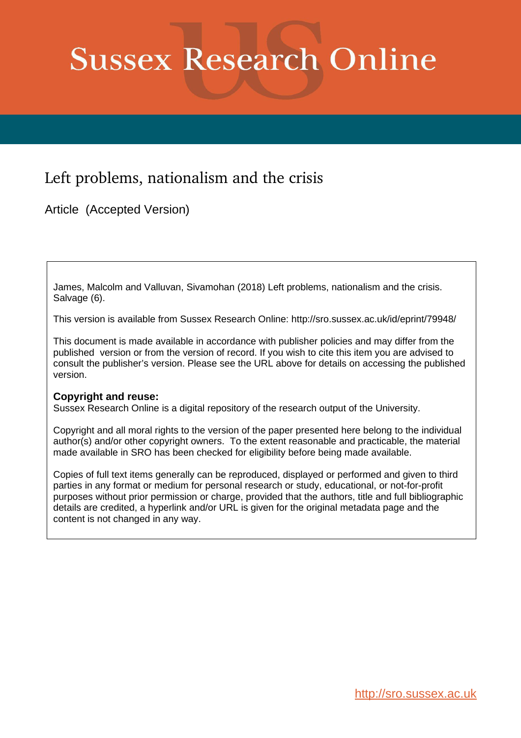## **Sussex Research Online**

## Left problems, nationalism and the crisis

Article (Accepted Version)

James, Malcolm and Valluvan, Sivamohan (2018) Left problems, nationalism and the crisis. Salvage (6).

This version is available from Sussex Research Online: http://sro.sussex.ac.uk/id/eprint/79948/

This document is made available in accordance with publisher policies and may differ from the published version or from the version of record. If you wish to cite this item you are advised to consult the publisher's version. Please see the URL above for details on accessing the published version.

## **Copyright and reuse:**

Sussex Research Online is a digital repository of the research output of the University.

Copyright and all moral rights to the version of the paper presented here belong to the individual author(s) and/or other copyright owners. To the extent reasonable and practicable, the material made available in SRO has been checked for eligibility before being made available.

Copies of full text items generally can be reproduced, displayed or performed and given to third parties in any format or medium for personal research or study, educational, or not-for-profit purposes without prior permission or charge, provided that the authors, title and full bibliographic details are credited, a hyperlink and/or URL is given for the original metadata page and the content is not changed in any way.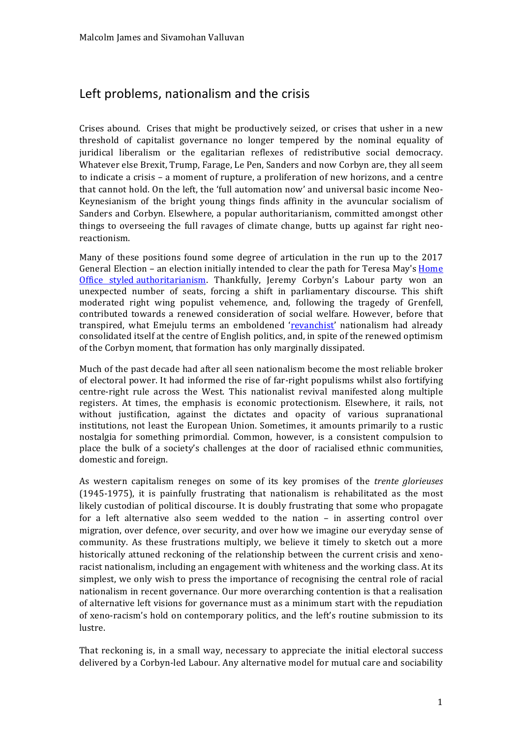## Left problems, nationalism and the crisis

Crises abound. Crises that might be productively seized, or crises that usher in a new threshold of capitalist governance no longer tempered by the nominal equality of juridical liberalism or the egalitarian reflexes of redistributive social democracy. Whatever else Brexit, Trump, Farage, Le Pen, Sanders and now Corbyn are, they all seem to indicate a crisis – a moment of rupture, a proliferation of new horizons, and a centre that cannot hold. On the left, the 'full automation now' and universal basic income Neo-Keynesianism of the bright young things finds affinity in the avuncular socialism of Sanders and Corbyn. Elsewhere, a popular authoritarianism, committed amongst other things to overseeing the full ravages of climate change, butts up against far right neoreactionism.'

Many of these positions found some degree of articulation in the run up to the 2017 General Election – an election initially intended to clear the path for Teresa May's Home Office styled authoritarianism. Thankfully, Jeremy Corbyn's Labour party won an unexpected number of seats, forcing a shift in parliamentary discourse. This shift moderated right wing populist vehemence, and, following the tragedy of Grenfell, contributed' towards' a' renewed' consideration of' social' welfare.'However,' before' that' transpired, what Emejulu terms an emboldened 'revanchist' nationalism had already consolidated itself at the centre of English politics, and, in spite of the renewed optimism of the Corbyn moment, that formation has only marginally dissipated.

Much of the past decade had after all seen nationalism become the most reliable broker of electoral power. It had informed the rise of far-right populisms whilst also fortifying centre-right rule across the West. This nationalist revival manifested along multiple registers. At times, the emphasis is economic protectionism. Elsewhere, it rails, not without justification, against the dictates and opacity of various supranational institutions, not least the European Union. Sometimes, it amounts primarily to a rustic nostalgia for something primordial. Common, however, is a consistent compulsion to place the bulk of a society's challenges at the door of racialised ethnic communities, domestic and foreign.

As' western capitalism' reneges' on' some' of' its' key' promises' of' the' *trente glorieuses* (1945-1975), it is painfully frustrating that nationalism is rehabilitated as the most likely custodian of political discourse. It is doubly frustrating that some who propagate for a left alternative also seem wedded to the nation – in asserting control over migration, over defence, over security, and over how we imagine our everyday sense of community. As these frustrations' multiply, we believe it timely to sketch out a more historically attuned reckoning of the relationship between the current crisis and xenoracist nationalism, including an engagement with whiteness and the working class. At its simplest, we only wish to press the importance of recognising the central role of racial nationalism in recent governance. Our more overarching contention is that a realisation of alternative left visions for governance must as a minimum start with the repudiation of xeno-racism's hold on contemporary politics, and the left's routine submission to its lustre.

That reckoning is, in a small way, necessary to appreciate the initial electoral success delivered by a Corbyn-led Labour. Any alternative model for mutual care and sociability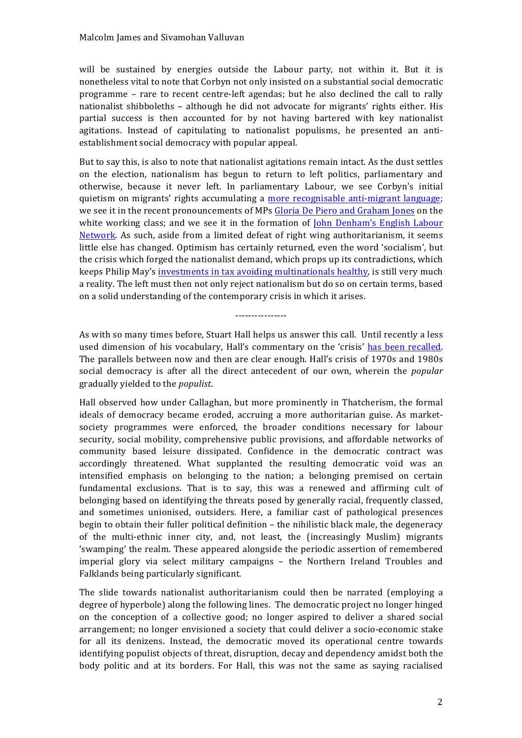will be sustained by energies outside the Labour party, not within it. But it is nonetheless vital to note that Corbyn not only insisted on a substantial social democratic programme – rare to recent centre-left agendas; but he also declined the call to rally nationalist shibboleths - although he did not advocate for migrants' rights either. His partial success is then accounted for by not having bartered with key nationalist agitations. Instead of capitulating to nationalist populisms, he presented an antiestablishment social democracy with popular appeal.

But to say this, is also to note that nationalist agitations remain intact. As the dust settles on' the' election,' nationalism' has' begun' to' return' to' left' politics, parliamentary' and' otherwise, because it never left. In parliamentary Labour, we see Corbyn's initial quietism on migrants' rights accumulating a more recognisable anti-migrant language; we see it in the recent pronouncements of MPs Gloria De Piero and Graham Jones on the white working class; and we see it in the formation of John Denham's English Labour Network. As such, aside from a limited defeat of right wing authoritarianism, it seems little else has changed. Optimism has certainly returned, even the word 'socialism', but the crisis which forged the nationalist demand, which props up its contradictions, which keeps Philip May's investments in tax avoiding multinationals healthy, is still very much a reality. The left must then not only reject nationalism but do so on certain terms, based on a solid understanding of the contemporary crisis in which it arises.

As with so many times before, Stuart Hall helps us answer this call. Until recently a less used dimension of his vocabulary, Hall's commentary on the 'crisis' has been recalled. The parallels between now and then are clear enough. Hall's crisis of 1970s and 1980s social democracy is after all the direct antecedent of our own, wherein the *popular* gradually'yielded'to'the'*populist*.

...............

Hall observed how under Callaghan, but more prominently in Thatcherism, the formal ideals of democracy became eroded, accruing a more authoritarian guise. As marketsociety programmes were enforced, the broader conditions necessary for labour security, social mobility, comprehensive public provisions, and affordable networks of community' based' leisure dissipated. Confidence' in' the' democratic' contract' was' accordingly threatened. What supplanted the resulting democratic void was an intensified emphasis on belonging to the nation; a belonging premised on certain fundamental exclusions. That is to say, this was a renewed and affirming cult of belonging based on identifying the threats posed by generally racial, frequently classed, and sometimes unionised, outsiders. Here, a familiar cast of pathological presences begin to obtain their fuller political definition - the nihilistic black male, the degeneracy of the multi-ethnic inner city, and, not least, the (increasingly Muslim) migrants 'swamping' the realm. These appeared alongside the periodic assertion of remembered imperial glory via select military campaigns - the Northern Ireland Troubles and Falklands being particularly significant.

The slide towards nationalist authoritarianism could then be narrated (employing a) degree of hyperbole) along the following lines. The democratic project no longer hinged on' the' conception' of' a' collective' good;' no longer' aspired to' deliver' a' shared' social' arrangement; no longer envisioned a society that could deliver a socio-economic stake for all its denizens. Instead, the democratic moved its operational centre towards identifying populist objects of threat, disruption, decay and dependency amidst both the body politic and at its borders. For Hall, this was not the same as saying racialised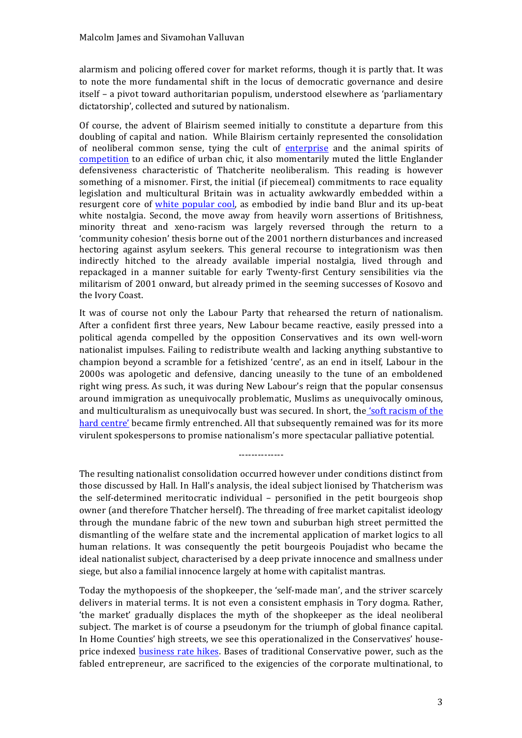alarmism and policing offered cover for market reforms, though it is partly that. It was to note the more fundamental shift in the locus of democratic governance and desire itself – a pivot toward authoritarian populism, understood elsewhere as 'parliamentary' dictatorship', collected and sutured by nationalism.

Of course, the advent of Blairism seemed initially to constitute a departure from this doubling'of'capital'and'nation.''While'Blairism'certainly'represented' the'consolidation of neoliberal common sense, tying the cult of enterprise and the animal spirits of competition to an edifice of urban chic, it also momentarily muted the little Englander defensiveness characteristic of Thatcherite neoliberalism. This reading is however something of a misnomer. First, the initial (if piecemeal) commitments to race equality legislation and multicultural Britain was in actuality awkwardly embedded within a resurgent core of white popular cool, as embodied by indie band Blur and its up-beat white nostalgia. Second, the move away from heavily worn assertions of Britishness, minority threat and xeno-racism was largely reversed through the return to a 'community cohesion' thesis borne out of the 2001 northern disturbances and increased hectoring against asylum seekers. This general recourse to integrationism was then indirectly hitched to the already available imperial nostalgia, lived through and repackaged in a manner suitable for early Twenty-first Century sensibilities via the militarism of 2001 onward, but already primed in the seeming successes of Kosovo and the Ivory Coast.

It was of course not only the Labour Party that rehearsed the return of nationalism. After a confident first three years, New Labour became reactive, easily pressed into a political agenda compelled by the opposition Conservatives and its own well-worn nationalist impulses. Failing to redistribute wealth and lacking anything substantive to champion beyond a scramble for a fetishized 'centre', as an end in itself, Labour in the 2000s was apologetic and defensive, dancing uneasily to the tune of an emboldened right wing press. As such, it was during New Labour's reign that the popular consensus around'immigration'as'unequivocally'problematic,'Muslims'as'unequivocally'ominous,' and multiculturalism as unequivocally bust was secured. In short, the 'soft racism of the hard centre' became firmly entrenched. All that subsequently remained was for its more virulent spokespersons to promise nationalism's more spectacular palliative potential.

The resulting nationalist consolidation occurred however under conditions distinct from those discussed by Hall. In Hall's analysis, the ideal subject lionised by Thatcherism was the self-determined meritocratic individual – personified in the petit bourgeois shop owner (and therefore Thatcher herself). The threading of free market capitalist ideology through the mundane fabric of the new town and suburban high street permitted the dismantling of the welfare state and the incremental application of market logics to all human' relations. It was consequently the petit bourgeois Poujadist who became the ideal nationalist subject, characterised by a deep private innocence and smallness under siege, but also a familial innocence largely at home with capitalist mantras.

NNNNNNNNNNNNNN

Today the mythopoesis of the shopkeeper, the 'self-made man', and the striver scarcely delivers in material terms. It is not even a consistent emphasis in Tory dogma. Rather, 'the' market'' gradually' displaces' the' myth' of' the' shopkeeper' as' the' ideal' neoliberal' subject. The market is of course a pseudonym for the triumph of global finance capital. In Home Counties' high streets, we see this operationalized in the Conservatives' houseprice indexed **business rate hikes**. Bases of traditional Conservative power, such as the fabled entrepreneur, are sacrificed to the exigencies of the corporate multinational, to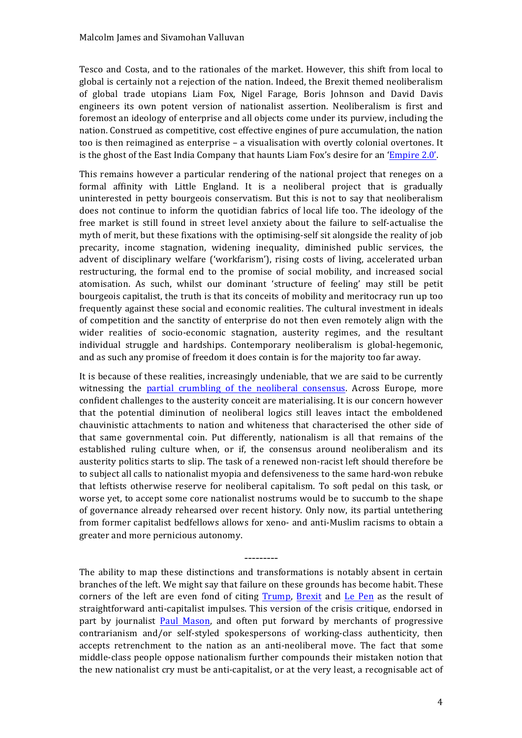Tesco and Costa, and to the rationales of the market. However, this shift from local to global is certainly not a rejection of the nation. Indeed, the Brexit themed neoliberalism of global trade utopians Liam Fox, Nigel Farage, Boris Johnson and David Davis engineers its own potent version of nationalist assertion. Neoliberalism is first and foremost an ideology of enterprise and all objects come under its purview, including the nation. Construed as competitive, cost effective engines of pure accumulation, the nation too is then reimagined as enterprise – a visualisation with overtly colonial overtones. It is the ghost of the East India Company that haunts Liam Fox's desire for an '*Empire 2.0'*.

This' remains' however' a particular' rendering of the national project that reneges on a formal affinity with Little England. It is a neoliberal project that is gradually uninterested in petty bourgeois conservatism. But this is not to say that neoliberalism does not continue to inform the quotidian fabrics of local life too. The ideology of the free market is still found in street level anxiety about the failure to self-actualise the myth of merit, but these fixations with the optimising-self sit alongside the reality of job precarity, income stagnation, widening inequality, diminished public services, the advent of disciplinary welfare ('workfarism'), rising costs of living, accelerated urban restructuring, the formal end to the promise of social mobility, and increased social atomisation. As such, whilst our dominant 'structure of feeling' may still be petit bourgeois capitalist, the truth is that its conceits of mobility and meritocracy run up too frequently against these social and economic realities. The cultural investment in ideals of competition and the sanctity of enterprise do not then even remotely align with the wider realities of socio-economic stagnation, austerity regimes, and the resultant individual struggle and hardships. Contemporary neoliberalism is global-hegemonic, and as such any promise of freedom it does contain is for the majority too far away.

It is because of these realities, increasingly undeniable, that we are said to be currently witnessing the partial crumbling of the neoliberal consensus. Across Europe, more confident'challenges'to'the'austerity'conceit'are'materialising.'It'is'our'concern'however that the potential diminution of neoliberal logics still leaves intact the emboldened chauvinistic attachments to nation and whiteness that characterised the other side of that same governmental coin. Put differently, nationalism is all that remains of the established ruling culture when, or if, the consensus around neoliberalism and its austerity politics starts to slip. The task of a renewed non-racist left should therefore be to subject all calls to nationalist myopia and defensiveness to the same hard-won rebuke that leftists otherwise reserve for neoliberal capitalism. To soft pedal on this task, or worse yet, to accept some core nationalist nostrums would be to succumb to the shape of governance already rehearsed over recent history. Only now, its partial untethering from former capitalist bedfellows allows for xeno- and anti-Muslim racisms to obtain a greater and more pernicious autonomy.

The ability to map these distinctions and transformations is notably absent in certain branches of the left. We might say that failure on these grounds has become habit. These corners of the left are even fond of citing Trump, Brexit and Le Pen as the result of straightforward anti-capitalist impulses. This version of the crisis critique, endorsed in part by journalist Paul Mason, and often put forward by merchants of progressive contrarianism and/or self-styled spokespersons of working-class authenticity, then accepts retrenchment to the nation as an anti-neoliberal move. The fact that some middle-class people oppose nationalism further compounds their mistaken notion that the new nationalist cry must be anti-capitalist, or at the very least, a recognisable act of

---------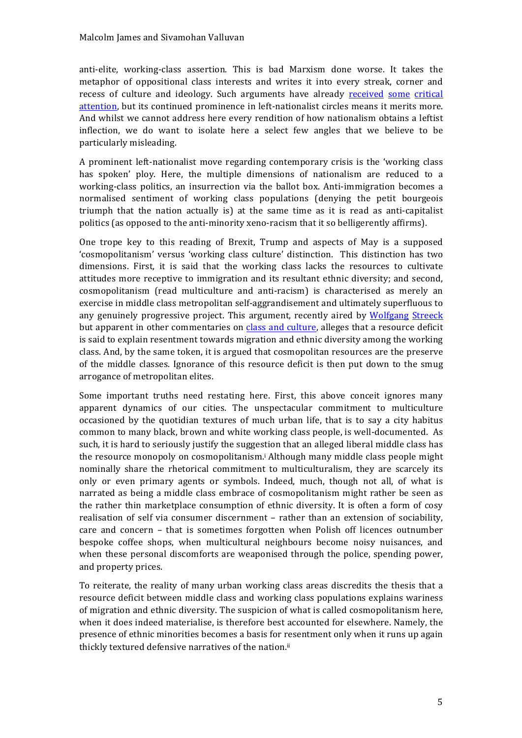anti-elite, working-class assertion. This is bad Marxism done worse. It takes the metaphor of oppositional class interests and writes it into every streak, corner and recess of culture and ideology. Such arguments have already received some critical attention, but its continued prominence in left-nationalist circles means it merits more. And whilst we cannot address here every rendition of how nationalism obtains a leftist inflection, we do want to isolate here a select few angles that we believe to be particularly misleading.

A prominent left-nationalist move regarding contemporary crisis is the 'working class' has spoken' ploy. Here, the multiple dimensions of nationalism are reduced to a working-class politics, an insurrection via the ballot box. Anti-immigration becomes a normalised sentiment of working class populations (denying the petit bourgeois' triumph that the nation actually is) at the same time as it is read as anti-capitalist politics (as opposed to the anti-minority xeno-racism that it so belligerently affirms).

One trope key to this reading of Brexit, Trump and aspects of May is a supposed 'cosmopolitanism' versus 'working class culture' distinction. This distinction has two dimensions. First, it is said that the working class lacks the resources to cultivate attitudes' more receptive to immigration and its resultant ethnic diversity; and second, cosmopolitanism (read multiculture and anti-racism) is characterised as merely an exercise in middle class metropolitan self-aggrandisement and ultimately superfluous to any genuinely progressive project. This argument, recently aired by Wolfgang Streeck but apparent in other commentaries on class and culture, alleges that a resource deficit is said to explain resentment towards migration and ethnic diversity among the working class. And, by the same token, it is argued that cosmopolitan resources are the preserve of the middle classes. Ignorance of this resource deficit is then put down to the smug arrogance of metropolitan elites.

Some important truths need restating here. First, this above conceit ignores many apparent dynamics of our cities. The unspectacular commitment to multiculture occasioned by the quotidian textures of much urban life, that is to say a city habitus common to many black, brown and white working class people, is well-documented. As such, it is hard to seriously justify the suggestion that an alleged liberal middle class has the resource monopoly on cosmopolitanism.<sup>*i*</sup> Although many middle class people might nominally share the rhetorical commitment to multiculturalism, they are scarcely its only or even primary agents or symbols. Indeed, much, though not all, of what is narrated as being a middle class embrace of cosmopolitanism might rather be seen as the rather thin marketplace consumption of ethnic diversity. It is often a form of cosy realisation of self via consumer discernment – rather than an extension of sociability, care and concern – that is sometimes forgotten when Polish off licences outnumber bespoke coffee shops, when multicultural neighbours become noisy nuisances, and when these personal discomforts are weaponised through the police, spending power, and property prices.

To reiterate, the reality of many urban working class areas discredits the thesis that a resource deficit between middle class and working class populations explains wariness of migration and ethnic diversity. The suspicion of what is called cosmopolitanism here, when it does indeed materialise, is therefore best accounted for elsewhere. Namely, the presence of ethnic minorities becomes a basis for resentment only when it runs up again thickly textured defensive narratives of the nation.ii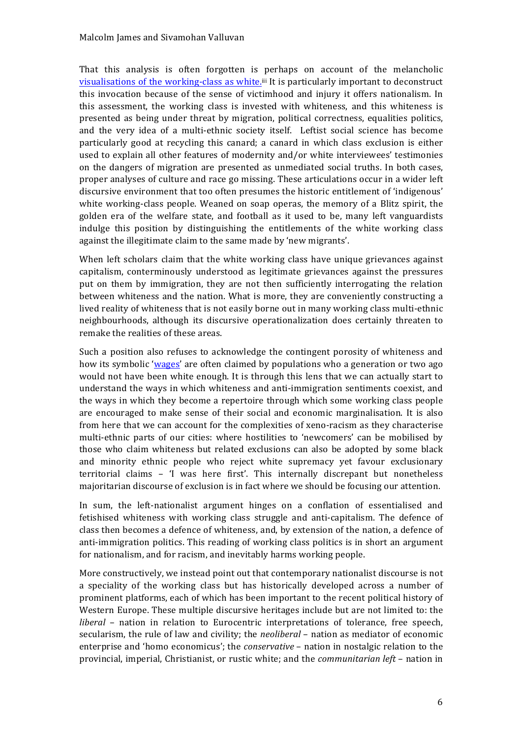That this analysis is often forgotten is perhaps on account of the melancholic visualisations of the working-class as white.<sup>iii</sup> It is particularly important to deconstruct this invocation because of the sense of victimhood and injury it offers nationalism. In this assessment, the working class is invested with whiteness, and this whiteness is presented as being under threat by migration, political correctness, equalities politics, and the very idea of a multi-ethnic society itself. Leftist social science has become particularly good at recycling this canard; a canard in which class exclusion is either used to explain all other features of modernity and/or white interviewees' testimonies on the dangers of migration are presented as unmediated social truths. In both cases, proper analyses of culture and race go missing. These articulations occur in a wider left discursive environment that too often presumes the historic entitlement of 'indigenous' white working-class people. Weaned on soap operas, the memory of a Blitz spirit, the golden era of the welfare state, and football as it used to be, many left vanguardists indulge this position by distinguishing the entitlements of the white working class against the illegitimate claim to the same made by 'new migrants'.

When left scholars claim that the white working class have unique grievances against capitalism, conterminously understood as legitimate grievances against the pressures put on them by immigration, they are not then sufficiently interrogating the relation between whiteness and the nation. What is more, they are conveniently constructing a lived reality of whiteness that is not easily borne out in many working class multi-ethnic neighbourhoods, although its discursive operationalization does certainly threaten to remake the realities of these areas.

Such a position also refuses to acknowledge the contingent porosity of whiteness and how its symbolic 'wages' are often claimed by populations who a generation or two ago would not have been white enough. It is through this lens that we can actually start to understand the ways in which whiteness and anti-immigration sentiments coexist, and the ways in which they become a repertoire through which some working class people are encouraged to make sense of their social and economic marginalisation. It is also from here that we can account for the complexities of xeno-racism as they characterise multi-ethnic parts of our cities: where hostilities to 'newcomers' can be mobilised by those who claim whiteness but related exclusions can also be adopted by some black and minority ethnic people who reject white supremacy yet favour exclusionary territorial claims - 'I was here first'. This internally discrepant but nonetheless majoritarian discourse of exclusion is in fact where we should be focusing our attention.

In sum, the left-nationalist argument hinges on a conflation of essentialised and fetishised whiteness with working class struggle and anti-capitalism. The defence of class then becomes a defence of whiteness, and, by extension of the nation, a defence of anti-immigration politics. This reading of working class politics is in short an argument for nationalism, and for racism, and inevitably harms working people.

More constructively, we instead point out that contemporary nationalist discourse is not a speciality of the working class but has historically developed across a number of prominent platforms, each of which has been important to the recent political history of Western Europe. These multiple discursive heritages include but are not limited to: the *liberal* – nation in relation to Eurocentric interpretations of tolerance, free speech, secularism, the rule of law and civility; the *neoliberal* – nation as mediator of economic enterprise and 'homo economicus'; the *conservative* – nation in nostalgic relation to the provincial, imperial, Christianist, or rustic white; and the *communitarian left* – nation in